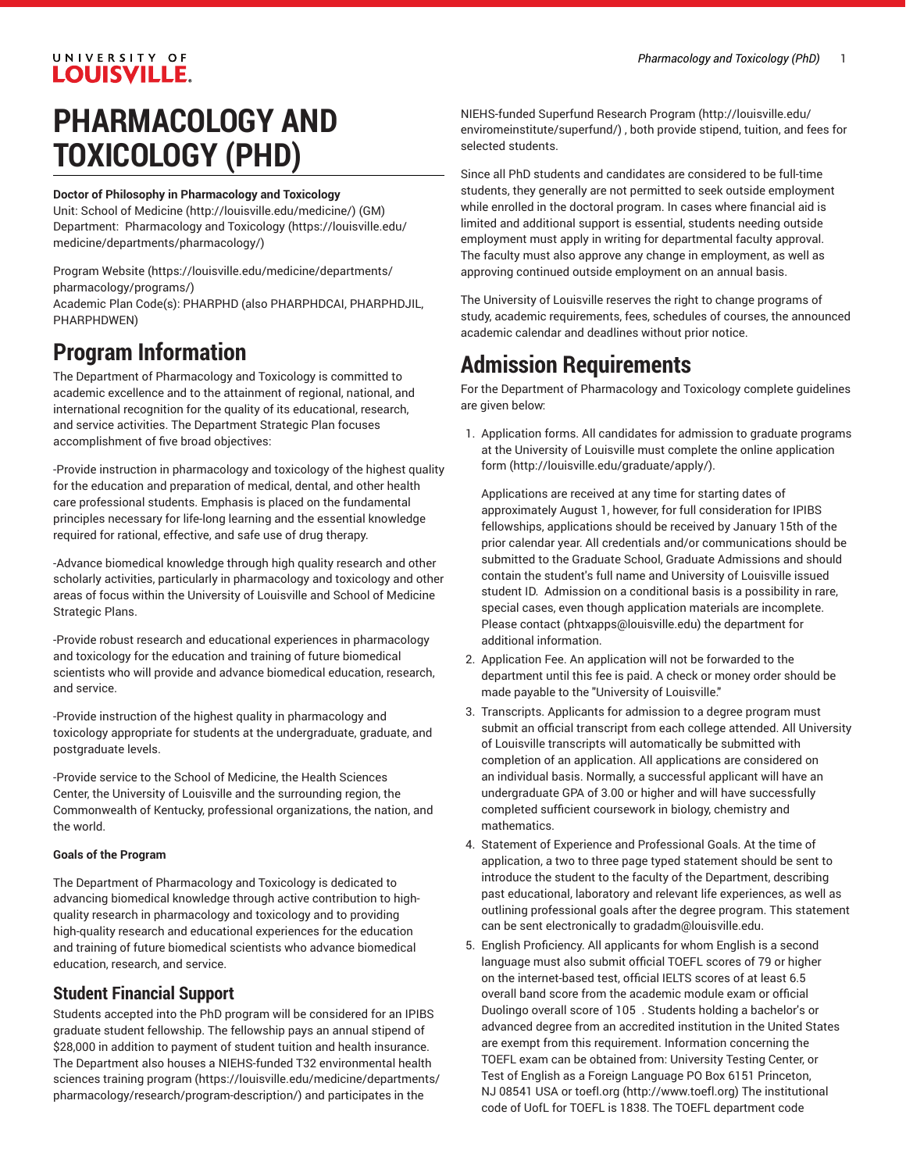### UNIVERSITY OF **LOUISVILLE.**

# **PHARMACOLOGY AND TOXICOLOGY (PHD)**

#### **Doctor of Philosophy in Pharmacology and Toxicology**

Unit: [School of Medicine \(http://louisville.edu/medicine/\)](http://louisville.edu/medicine/) (GM) Department: [Pharmacology](https://louisville.edu/medicine/departments/pharmacology/) and Toxicology [\(https://louisville.edu/](https://louisville.edu/medicine/departments/pharmacology/) [medicine/departments/pharmacology/](https://louisville.edu/medicine/departments/pharmacology/))

[Program](https://louisville.edu/medicine/departments/pharmacology/programs/) Website [\(https://louisville.edu/medicine/departments/](https://louisville.edu/medicine/departments/pharmacology/programs/) [pharmacology/programs/\)](https://louisville.edu/medicine/departments/pharmacology/programs/)

Academic Plan Code(s): PHARPHD (also PHARPHDCAI, PHARPHDJIL, PHARPHDWEN)

## **Program Information**

The Department of Pharmacology and Toxicology is committed to academic excellence and to the attainment of regional, national, and international recognition for the quality of its educational, research, and service activities. The Department Strategic Plan focuses accomplishment of five broad objectives:

-Provide instruction in pharmacology and toxicology of the highest quality for the education and preparation of medical, dental, and other health care professional students. Emphasis is placed on the fundamental principles necessary for life-long learning and the essential knowledge required for rational, effective, and safe use of drug therapy.

-Advance biomedical knowledge through high quality research and other scholarly activities, particularly in pharmacology and toxicology and other areas of focus within the University of Louisville and School of Medicine Strategic Plans.

-Provide robust research and educational experiences in pharmacology and toxicology for the education and training of future biomedical scientists who will provide and advance biomedical education, research, and service.

-Provide instruction of the highest quality in pharmacology and toxicology appropriate for students at the undergraduate, graduate, and postgraduate levels.

-Provide service to the School of Medicine, the Health Sciences Center, the University of Louisville and the surrounding region, the Commonwealth of Kentucky, professional organizations, the nation, and the world.

#### **Goals of the Program**

The Department of Pharmacology and Toxicology is dedicated to advancing biomedical knowledge through active contribution to highquality research in pharmacology and toxicology and to providing high-quality research and educational experiences for the education and training of future biomedical scientists who advance biomedical education, research, and service.

### **Student Financial Support**

Students accepted into the PhD program will be considered for an IPIBS graduate student fellowship. The fellowship pays an annual stipend of \$28,000 in addition to payment of student tuition and health insurance. The Department also houses a NIEHS-funded T32 [environmental](https://louisville.edu/medicine/departments/pharmacology/research/program-description/) health [sciences](https://louisville.edu/medicine/departments/pharmacology/research/program-description/) training program [\(https://louisville.edu/medicine/departments/](https://louisville.edu/medicine/departments/pharmacology/research/program-description/) [pharmacology/research/program-description/\)](https://louisville.edu/medicine/departments/pharmacology/research/program-description/) and participates in the

[NIEHS-funded](http://louisville.edu/enviromeinstitute/superfund/) Superfund Research Program ([http://louisville.edu/](http://louisville.edu/enviromeinstitute/superfund/) [enviromeinstitute/superfund/\)](http://louisville.edu/enviromeinstitute/superfund/) , both provide stipend, tuition, and fees for selected students.

Since all PhD students and candidates are considered to be full-time students, they generally are not permitted to seek outside employment while enrolled in the doctoral program. In cases where financial aid is limited and additional support is essential, students needing outside employment must apply in writing for departmental faculty approval. The faculty must also approve any change in employment, as well as approving continued outside employment on an annual basis.

The University of Louisville reserves the right to change programs of study, academic requirements, fees, schedules of courses, the announced academic calendar and deadlines without prior notice.

# **Admission Requirements**

For the Department of Pharmacology and Toxicology complete guidelines are given below:

1. Application forms. All candidates for admission to graduate programs at the University of Louisville must complete [the online application](http://louisville.edu/graduate/apply/) [form](http://louisville.edu/graduate/apply/) [\(http://louisville.edu/graduate/apply/\)](http://louisville.edu/graduate/apply/).

Applications are received at any time for starting dates of approximately August 1, however, for full consideration for IPIBS fellowships, applications should be received by January 15th of the prior calendar year. All credentials and/or communications should be submitted to the Graduate School, Graduate Admissions and should contain the student's full name and University of Louisville issued student ID. Admission on a conditional basis is a possibility in rare, special cases, even though application materials are incomplete. Please [contact](mailto:phtxapps@louisville.edu) (<phtxapps@louisville.edu>) the department for additional information.

- 2. Application Fee. An application will not be forwarded to the department until this fee is paid. A check or money order should be made payable to the "University of Louisville."
- 3. Transcripts. Applicants for admission to a degree program must submit an official transcript from each college attended. All University of Louisville transcripts will automatically be submitted with completion of an application. All applications are considered on an individual basis. Normally, a successful applicant will have an undergraduate GPA of 3.00 or higher and will have successfully completed sufficient coursework in biology, chemistry and mathematics.
- 4. Statement of Experience and Professional Goals. At the time of application, a two to three page typed statement should be sent to introduce the student to the faculty of the Department, describing past educational, laboratory and relevant life experiences, as well as outlining professional goals after the degree program. This statement can be sent electronically to [gradadm@louisville.edu](mailto:gradadm@louisville.edu).
- 5. English Proficiency. All applicants for whom English is a second language must also submit official TOEFL scores of 79 or higher on the internet-based test, official IELTS scores of at least 6.5 overall band score from the academic module exam or official Duolingo overall score of 105 . Students holding a bachelor's or advanced degree from an accredited institution in the United States are exempt from this requirement. Information concerning the TOEFL exam can be obtained from: University Testing Center, or Test of English as a Foreign Language PO Box 6151 Princeton, NJ 08541 USA or [toefl.org](http://www.toefl.org) ([http://www.toefl.org\)](http://www.toefl.org) The institutional code of UofL for TOEFL is 1838. The TOEFL department code